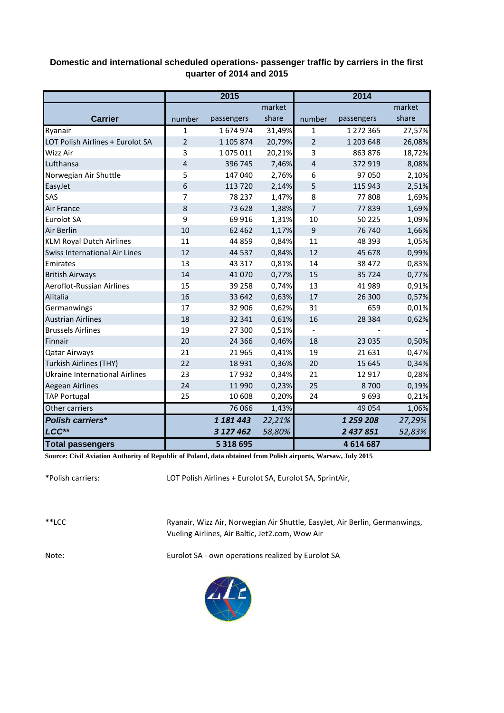## **Domestic and international scheduled operations- passenger traffic by carriers in the first quarter of 2014 and 2015**

|                                      | 2015           |               |        | 2014                    |            |        |  |
|--------------------------------------|----------------|---------------|--------|-------------------------|------------|--------|--|
|                                      |                |               | market |                         |            | market |  |
| <b>Carrier</b>                       | number         | passengers    | share  | number                  | passengers | share  |  |
| Ryanair                              | $\mathbf{1}$   | 1674974       | 31,49% | $\mathbf{1}$            | 1 272 365  | 27,57% |  |
| LOT Polish Airlines + Eurolot SA     | $\overline{2}$ | 1 105 874     | 20,79% | $\overline{2}$          | 1 203 648  | 26,08% |  |
| Wizz Air                             | 3              | 1075011       | 20,21% | 3                       | 863 876    | 18,72% |  |
| Lufthansa                            | 4              | 396 745       | 7,46%  | $\overline{\mathbf{r}}$ | 372 919    | 8,08%  |  |
| Norwegian Air Shuttle                | 5              | 147 040       | 2,76%  | 6                       | 97 050     | 2,10%  |  |
| EasyJet                              | 6              | 113 720       | 2,14%  | 5                       | 115 943    | 2,51%  |  |
| SAS                                  | 7              | 78 237        | 1,47%  | 8                       | 77808      | 1,69%  |  |
| Air France                           | 8              | 73 628        | 1,38%  | 7                       | 77839      | 1,69%  |  |
| <b>Eurolot SA</b>                    | 9              | 69 916        | 1,31%  | 10                      | 50 225     | 1,09%  |  |
| Air Berlin                           | 10             | 62 4 62       | 1,17%  | 9                       | 76 740     | 1,66%  |  |
| <b>KLM Royal Dutch Airlines</b>      | 11             | 44 859        | 0,84%  | 11                      | 48 3 9 3   | 1,05%  |  |
| <b>Swiss International Air Lines</b> | 12             | 44 5 37       | 0,84%  | 12                      | 45 678     | 0,99%  |  |
| Emirates                             | 13             | 43 3 17       | 0,81%  | 14                      | 38 4 72    | 0,83%  |  |
| <b>British Airways</b>               | 14             | 41 0 70       | 0,77%  | 15                      | 35 7 24    | 0,77%  |  |
| Aeroflot-Russian Airlines            | 15             | 39 258        | 0,74%  | 13                      | 41 989     | 0,91%  |  |
| Alitalia                             | 16             | 33 642        | 0,63%  | 17                      | 26 300     | 0,57%  |  |
| Germanwings                          | 17             | 32 906        | 0,62%  | 31                      | 659        | 0,01%  |  |
| <b>Austrian Airlines</b>             | 18             | 32 341        | 0,61%  | 16                      | 28 3 8 4   | 0,62%  |  |
| <b>Brussels Airlines</b>             | 19             | 27 300        | 0,51%  |                         |            |        |  |
| Finnair                              | 20             | 24 3 66       | 0,46%  | 18                      | 23 0 35    | 0,50%  |  |
| <b>Qatar Airways</b>                 | 21             | 21 9 65       | 0,41%  | 19                      | 21 631     | 0,47%  |  |
| <b>Turkish Airlines (THY)</b>        | 22             | 18 9 31       | 0,36%  | 20                      | 15 645     | 0,34%  |  |
| Ukraine International Airlines       | 23             | 17932         | 0,34%  | 21                      | 12 9 17    | 0,28%  |  |
| Aegean Airlines                      | 24             | 11 990        | 0,23%  | 25                      | 8700       | 0,19%  |  |
| <b>TAP Portugal</b>                  | 25             | 10 608        | 0,20%  | 24                      | 9693       | 0,21%  |  |
| Other carriers                       |                | 76 066        | 1,43%  |                         | 49 0 54    | 1,06%  |  |
| <b>Polish carriers*</b>              |                | 1 181 443     | 22,21% |                         | 1 259 208  | 27,29% |  |
| LCC**                                |                | 3 127 462     | 58,80% |                         | 2 437 851  | 52,83% |  |
| <b>Total passengers</b>              |                | 5 3 1 8 6 9 5 |        |                         | 4 614 687  |        |  |

**Source: Civil Aviation Authority of Republic of Poland, data obtained from Polish airports, Warsaw, July 2015**

\*Polish carriers:

LOT Polish Airlines + Eurolot SA, Eurolot SA, SprintAir,

\*\*LCC

Ryanair, Wizz Air, Norwegian Air Shuttle, EasyJet, Air Berlin, Germanwings, Vueling Airlines, Air Baltic, Jet2.com, Wow Air

Note: Eurolot SA - own operations realized by Eurolot SA